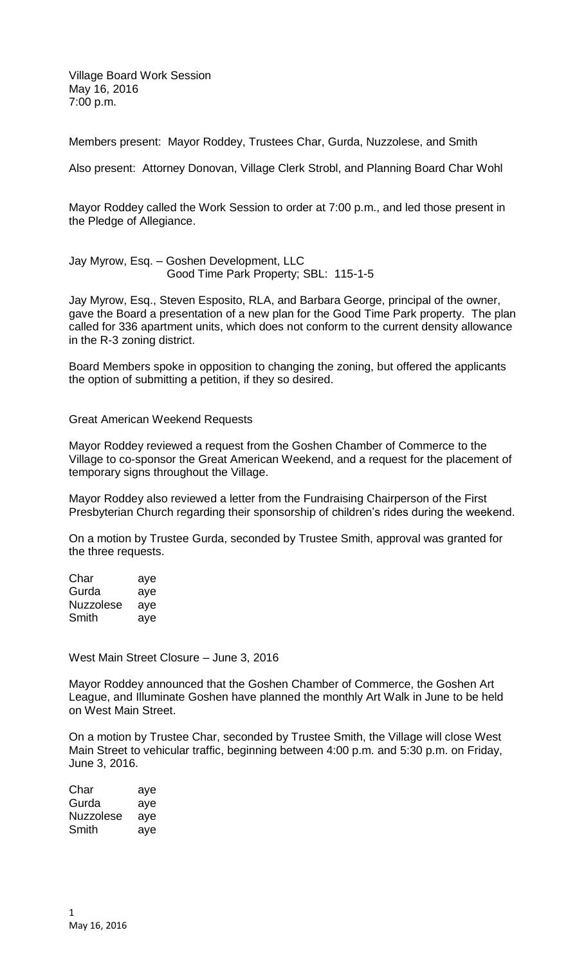Village Board Work Session May 16, 2016 7:00 p.m.

Members present: Mayor Roddey, Trustees Char, Gurda, Nuzzolese, and Smith

Also present: Attorney Donovan, Village Clerk Strobl, and Planning Board Char Wohl

Mayor Roddey called the Work Session to order at 7:00 p.m., and led those present in the Pledge of Allegiance.

Jay Myrow, Esq. – Goshen Development, LLC Good Time Park Property; SBL: 115-1-5

Jay Myrow, Esq., Steven Esposito, RLA, and Barbara George, principal of the owner, gave the Board a presentation of a new plan for the Good Time Park property. The plan called for 336 apartment units, which does not conform to the current density allowance in the R-3 zoning district.

Board Members spoke in opposition to changing the zoning, but offered the applicants the option of submitting a petition, if they so desired.

Great American Weekend Requests

Mayor Roddey reviewed a request from the Goshen Chamber of Commerce to the Village to co-sponsor the Great American Weekend, and a request for the placement of temporary signs throughout the Village.

Mayor Roddey also reviewed a letter from the Fundraising Chairperson of the First Presbyterian Church regarding their sponsorship of children's rides during the weekend.

On a motion by Trustee Gurda, seconded by Trustee Smith, approval was granted for the three requests.

| Char             | aye |
|------------------|-----|
| Gurda            | aye |
| <b>Nuzzolese</b> | aye |
| Smith            | aye |

West Main Street Closure – June 3, 2016

Mayor Roddey announced that the Goshen Chamber of Commerce, the Goshen Art League, and Illuminate Goshen have planned the monthly Art Walk in June to be held on West Main Street.

On a motion by Trustee Char, seconded by Trustee Smith, the Village will close West Main Street to vehicular traffic, beginning between 4:00 p.m. and 5:30 p.m. on Friday, June 3, 2016.

| Char             | aye |
|------------------|-----|
| Gurda            | aye |
| <b>Nuzzolese</b> | aye |
| Smith            | aye |